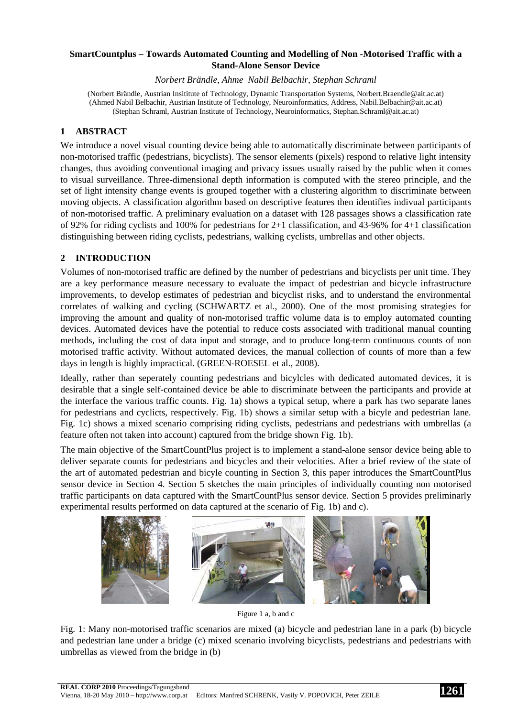## **SmartCountplus – Towards Automated Counting and Modelling of Non -Motorised Traffic with a Stand-Alone Sensor Device**

*Norbert Brändle, Ahme Nabil Belbachir, Stephan Schraml* 

(Norbert Brändle, Austrian Insititute of Technology, Dynamic Transportation Systems, Norbert.Braendle@ait.ac.at) (Ahmed Nabil Belbachir, Austrian Institute of Technology, Neuroinformatics, Address, Nabil.Belbachir@ait.ac.at) (Stephan Schraml, Austrian Institute of Technology, Neuroinformatics, Stephan.Schraml@ait.ac.at)

# **1 ABSTRACT**

We introduce a novel visual counting device being able to automatically discriminate between participants of non-motorised traffic (pedestrians, bicyclists). The sensor elements (pixels) respond to relative light intensity changes, thus avoiding conventional imaging and privacy issues usually raised by the public when it comes to visual surveillance. Three-dimensional depth information is computed with the stereo principle, and the set of light intensity change events is grouped together with a clustering algorithm to discriminate between moving objects. A classification algorithm based on descriptive features then identifies indivual participants of non-motorised traffic. A preliminary evaluation on a dataset with 128 passages shows a classification rate of 92% for riding cyclists and 100% for pedestrians for 2+1 classification, and 43-96% for 4+1 classification distinguishing between riding cyclists, pedestrians, walking cyclists, umbrellas and other objects.

## **2 INTRODUCTION**

Volumes of non-motorised traffic are defined by the number of pedestrians and bicyclists per unit time. They are a key performance measure necessary to evaluate the impact of pedestrian and bicycle infrastructure improvements, to develop estimates of pedestrian and bicyclist risks, and to understand the environmental correlates of walking and cycling (SCHWARTZ et al., 2000). One of the most promising strategies for improving the amount and quality of non-motorised traffic volume data is to employ automated counting devices. Automated devices have the potential to reduce costs associated with traditional manual counting methods, including the cost of data input and storage, and to produce long-term continuous counts of non motorised traffic activity. Without automated devices, the manual collection of counts of more than a few days in length is highly impractical. (GREEN-ROESEL et al., 2008).

Ideally, rather than seperately counting pedestrians and bicylcles with dedicated automated devices, it is desirable that a single self-contained device be able to discriminate between the participants and provide at the interface the various traffic counts. Fig. 1a) shows a typical setup, where a park has two separate lanes for pedestrians and cyclicts, respectively. Fig. 1b) shows a similar setup with a bicyle and pedestrian lane. Fig. 1c) shows a mixed scenario comprising riding cyclists, pedestrians and pedestrians with umbrellas (a feature often not taken into account) captured from the bridge shown Fig. 1b).

The main objective of the SmartCountPlus project is to implement a stand-alone sensor device being able to deliver separate counts for pedestrians and bicycles and their velocities. After a brief review of the state of the art of automated pedestrian and bicyle counting in Section 3, this paper introduces the SmartCountPlus sensor device in Section 4. Section 5 sketches the main principles of individually counting non motorised traffic participants on data captured with the SmartCountPlus sensor device. Section 5 provides preliminarly experimental results performed on data captured at the scenario of Fig. 1b) and c).



Figure 1 a, b and c

Fig. 1: Many non-motorised traffic scenarios are mixed (a) bicycle and pedestrian lane in a park (b) bicycle and pedestrian lane under a bridge (c) mixed scenario involving bicyclists, pedestrians and pedestrians with umbrellas as viewed from the bridge in (b)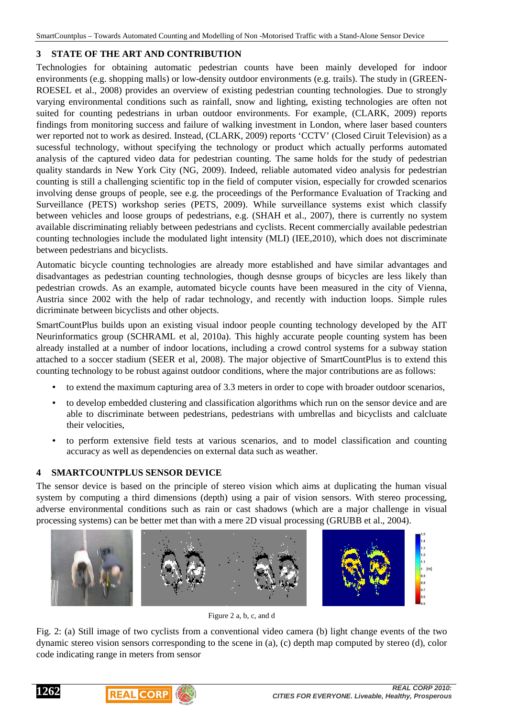## **3 STATE OF THE ART AND CONTRIBUTION**

Technologies for obtaining automatic pedestrian counts have been mainly developed for indoor environments (e.g. shopping malls) or low-density outdoor environments (e.g. trails). The study in (GREEN-ROESEL et al., 2008) provides an overview of existing pedestrian counting technologies. Due to strongly varying environmental conditions such as rainfall, snow and lighting, existing technologies are often not suited for counting pedestrians in urban outdoor environments. For example, (CLARK, 2009) reports findings from monitoring success and failure of walking investment in London, where laser based counters wer reported not to work as desired. Instead, (CLARK, 2009) reports 'CCTV' (Closed Ciruit Television) as a sucessful technology, without specifying the technology or product which actually performs automated analysis of the captured video data for pedestrian counting. The same holds for the study of pedestrian quality standards in New York City (NG, 2009). Indeed, reliable automated video analysis for pedestrian counting is still a challenging scientific top in the field of computer vision, especially for crowded scenarios involving dense groups of people, see e.g. the proceedings of the Performance Evaluation of Tracking and Surveillance (PETS) workshop series (PETS, 2009). While surveillance systems exist which classify between vehicles and loose groups of pedestrians, e.g. (SHAH et al., 2007), there is currently no system available discriminating reliably between pedestrians and cyclists. Recent commercially available pedestrian counting technologies include the modulated light intensity (MLI) (IEE,2010), which does not discriminate between pedestrians and bicyclists.

Automatic bicycle counting technologies are already more established and have similar advantages and disadvantages as pedestrian counting technologies, though desnse groups of bicycles are less likely than pedestrian crowds. As an example, automated bicycle counts have been measured in the city of Vienna, Austria since 2002 with the help of radar technology, and recently with induction loops. Simple rules dicriminate between bicyclists and other objects.

SmartCountPlus builds upon an existing visual indoor people counting technology developed by the AIT Neurinformatics group (SCHRAML et al, 2010a). This highly accurate people counting system has been already installed at a number of indoor locations, including a crowd control systems for a subway station attached to a soccer stadium (SEER et al, 2008). The major objective of SmartCountPlus is to extend this counting technology to be robust against outdoor conditions, where the major contributions are as follows:

- to extend the maximum capturing area of 3.3 meters in order to cope with broader outdoor scenarios,
- to develop embedded clustering and classification algorithms which run on the sensor device and are able to discriminate between pedestrians, pedestrians with umbrellas and bicyclists and calcluate their velocities,
- to perform extensive field tests at various scenarios, and to model classification and counting accuracy as well as dependencies on external data such as weather.

## **4 SMARTCOUNTPLUS SENSOR DEVICE**

The sensor device is based on the principle of stereo vision which aims at duplicating the human visual system by computing a third dimensions (depth) using a pair of vision sensors. With stereo processing, adverse environmental conditions such as rain or cast shadows (which are a major challenge in visual processing systems) can be better met than with a mere 2D visual processing (GRUBB et al., 2004).



Figure 2 a, b, c, and d

Fig. 2: (a) Still image of two cyclists from a conventional video camera (b) light change events of the two dynamic stereo vision sensors corresponding to the scene in (a), (c) depth map computed by stereo (d), color code indicating range in meters from sensor



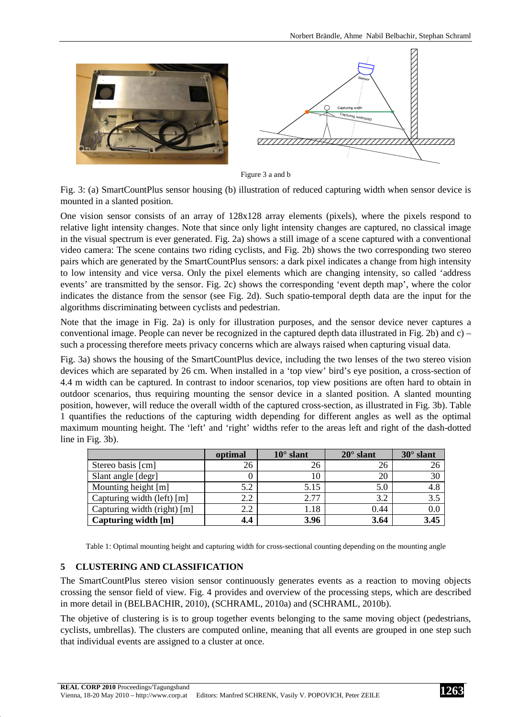

Figure 3 a and b

Fig. 3: (a) SmartCountPlus sensor housing (b) illustration of reduced capturing width when sensor device is mounted in a slanted position.

One vision sensor consists of an array of 128x128 array elements (pixels), where the pixels respond to relative light intensity changes. Note that since only light intensity changes are captured, no classical image in the visual spectrum is ever generated. Fig. 2a) shows a still image of a scene captured with a conventional video camera: The scene contains two riding cyclists, and Fig. 2b) shows the two corresponding two stereo pairs which are generated by the SmartCountPlus sensors: a dark pixel indicates a change from high intensity to low intensity and vice versa. Only the pixel elements which are changing intensity, so called 'address events' are transmitted by the sensor. Fig. 2c) shows the corresponding 'event depth map', where the color indicates the distance from the sensor (see Fig. 2d). Such spatio-temporal depth data are the input for the algorithms discriminating between cyclists and pedestrian.

Note that the image in Fig. 2a) is only for illustration purposes, and the sensor device never captures a conventional image. People can never be recognized in the captured depth data illustrated in Fig. 2b) and c) – such a processing therefore meets privacy concerns which are always raised when capturing visual data.

Fig. 3a) shows the housing of the SmartCountPlus device, including the two lenses of the two stereo vision devices which are separated by 26 cm. When installed in a 'top view' bird's eye position, a cross-section of 4.4 m width can be captured. In contrast to indoor scenarios, top view positions are often hard to obtain in outdoor scenarios, thus requiring mounting the sensor device in a slanted position. A slanted mounting position, however, will reduce the overall width of the captured cross-section, as illustrated in Fig. 3b). Table 1 quantifies the reductions of the capturing width depending for different angles as well as the optimal maximum mounting height. The 'left' and 'right' widths refer to the areas left and right of the dash-dotted line in Fig. 3b).

|                             | optimal | $10^{\circ}$ slant | $20^\circ$ slant | $30^\circ$ slant |
|-----------------------------|---------|--------------------|------------------|------------------|
| Stereo basis [cm]           | 26      | 26                 | 26               |                  |
| Slant angle [degr]          |         | 10                 | 20               | 30               |
| Mounting height [m]         | 5.2     | 5.15               | 5.0              | 4.8              |
| Capturing width (left) [m]  | 2.2     | 2.77               | 3.2              | 3.5              |
| Capturing width (right) [m] | 2.2     | 1.18               | 0.44             | 0.0              |
| Capturing width [m]         | 4.4     | 3.96               | 3.64             | 3.45             |

Table 1: Optimal mounting height and capturing width for cross-sectional counting depending on the mounting angle

### **5 CLUSTERING AND CLASSIFICATION**

The SmartCountPlus stereo vision sensor continuously generates events as a reaction to moving objects crossing the sensor field of view. Fig. 4 provides and overview of the processing steps, which are described in more detail in (BELBACHIR, 2010), (SCHRAML, 2010a) and (SCHRAML, 2010b).

The objetive of clustering is is to group together events belonging to the same moving object (pedestrians, cyclists, umbrellas). The clusters are computed online, meaning that all events are grouped in one step such that individual events are assigned to a cluster at once.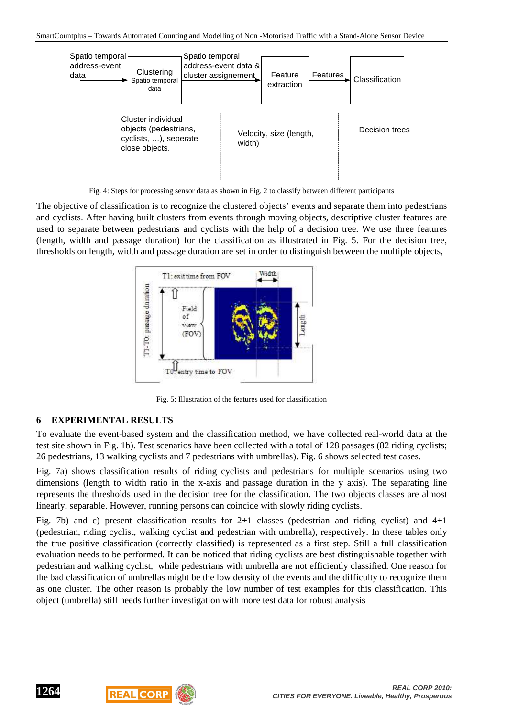

Fig. 4: Steps for processing sensor data as shown in Fig. 2 to classify between different participants

The objective of classification is to recognize the clustered objects' events and separate them into pedestrians and cyclists. After having built clusters from events through moving objects, descriptive cluster features are used to separate between pedestrians and cyclists with the help of a decision tree. We use three features (length, width and passage duration) for the classification as illustrated in Fig. 5. For the decision tree, thresholds on length, width and passage duration are set in order to distinguish between the multiple objects,



Fig. 5: Illustration of the features used for classification

### **6 EXPERIMENTAL RESULTS**

To evaluate the event-based system and the classification method, we have collected real-world data at the test site shown in Fig. 1b). Test scenarios have been collected with a total of 128 passages (82 riding cyclists; 26 pedestrians, 13 walking cyclists and 7 pedestrians with umbrellas). Fig. 6 shows selected test cases.

Fig. 7a) shows classification results of riding cyclists and pedestrians for multiple scenarios using two dimensions (length to width ratio in the x-axis and passage duration in the y axis). The separating line represents the thresholds used in the decision tree for the classification. The two objects classes are almost linearly, separable. However, running persons can coincide with slowly riding cyclists.

Fig. 7b) and c) present classification results for  $2+1$  classes (pedestrian and riding cyclist) and  $4+1$ (pedestrian, riding cyclist, walking cyclist and pedestrian with umbrella), respectively. In these tables only the true positive classification (correctly classified) is represented as a first step. Still a full classification evaluation needs to be performed. It can be noticed that riding cyclists are best distinguishable together with pedestrian and walking cyclist, while pedestrians with umbrella are not efficiently classified. One reason for the bad classification of umbrellas might be the low density of the events and the difficulty to recognize them as one cluster. The other reason is probably the low number of test examples for this classification. This object (umbrella) still needs further investigation with more test data for robust analysis



**1264**

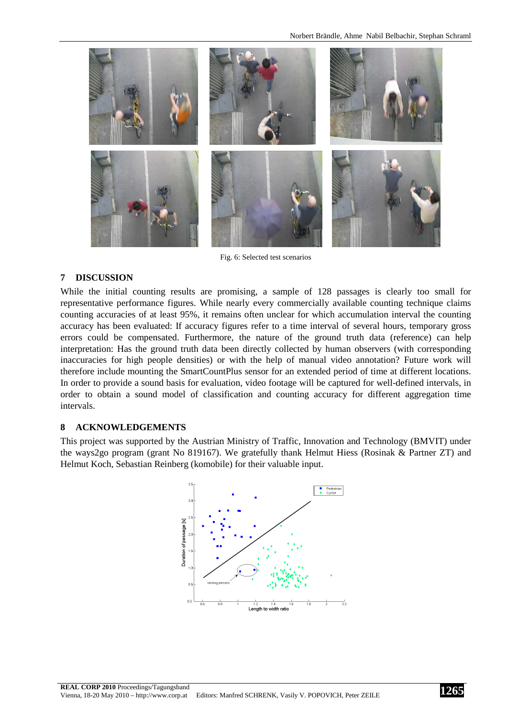

Fig. 6: Selected test scenarios

#### **7 DISCUSSION**

While the initial counting results are promising, a sample of 128 passages is clearly too small for representative performance figures. While nearly every commercially available counting technique claims counting accuracies of at least 95%, it remains often unclear for which accumulation interval the counting accuracy has been evaluated: If accuracy figures refer to a time interval of several hours, temporary gross errors could be compensated. Furthermore, the nature of the ground truth data (reference) can help interpretation: Has the ground truth data been directly collected by human observers (with corresponding inaccuracies for high people densities) or with the help of manual video annotation? Future work will therefore include mounting the SmartCountPlus sensor for an extended period of time at different locations. In order to provide a sound basis for evaluation, video footage will be captured for well-defined intervals, in order to obtain a sound model of classification and counting accuracy for different aggregation time intervals.

#### **8 ACKNOWLEDGEMENTS**

This project was supported by the Austrian Ministry of Traffic, Innovation and Technology (BMVIT) under the ways2go program (grant No 819167). We gratefully thank Helmut Hiess (Rosinak & Partner ZT) and Helmut Koch, Sebastian Reinberg (komobile) for their valuable input.